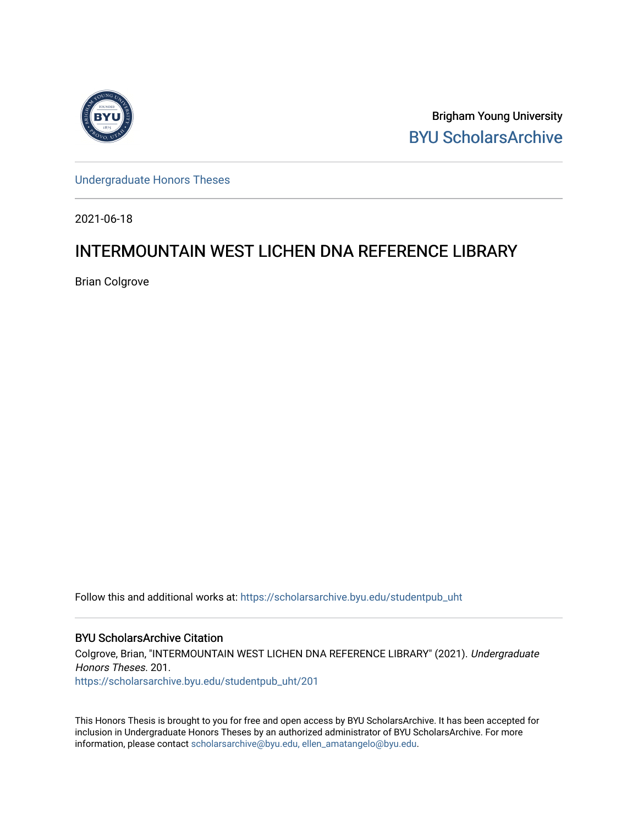

Brigham Young University [BYU ScholarsArchive](https://scholarsarchive.byu.edu/) 

[Undergraduate Honors Theses](https://scholarsarchive.byu.edu/studentpub_uht) 

2021-06-18

# INTERMOUNTAIN WEST LICHEN DNA REFERENCE LIBRARY

Brian Colgrove

Follow this and additional works at: [https://scholarsarchive.byu.edu/studentpub\\_uht](https://scholarsarchive.byu.edu/studentpub_uht?utm_source=scholarsarchive.byu.edu%2Fstudentpub_uht%2F201&utm_medium=PDF&utm_campaign=PDFCoverPages) 

#### BYU ScholarsArchive Citation

Colgrove, Brian, "INTERMOUNTAIN WEST LICHEN DNA REFERENCE LIBRARY" (2021). Undergraduate Honors Theses. 201.

[https://scholarsarchive.byu.edu/studentpub\\_uht/201](https://scholarsarchive.byu.edu/studentpub_uht/201?utm_source=scholarsarchive.byu.edu%2Fstudentpub_uht%2F201&utm_medium=PDF&utm_campaign=PDFCoverPages)

This Honors Thesis is brought to you for free and open access by BYU ScholarsArchive. It has been accepted for inclusion in Undergraduate Honors Theses by an authorized administrator of BYU ScholarsArchive. For more information, please contact [scholarsarchive@byu.edu, ellen\\_amatangelo@byu.edu.](mailto:scholarsarchive@byu.edu,%20ellen_amatangelo@byu.edu)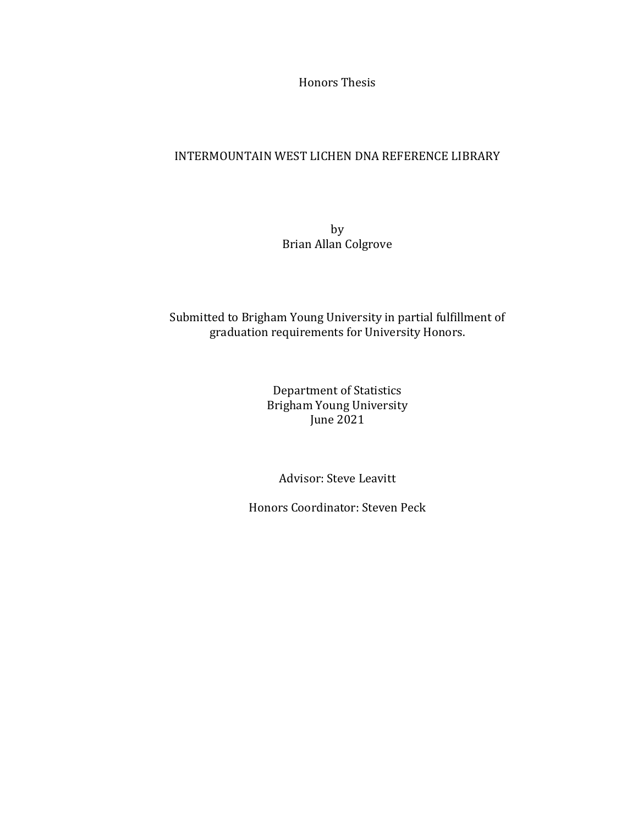Honors Thesis

# INTERMOUNTAIN WEST LICHEN DNA REFERENCE LIBRARY

by Brian Allan Colgrove

# Submitted to Brigham Young University in partial fulfillment of graduation requirements for University Honors.

Department of Statistics Brigham Young University June 2021

Advisor: Steve Leavitt

Honors Coordinator: Steven Peck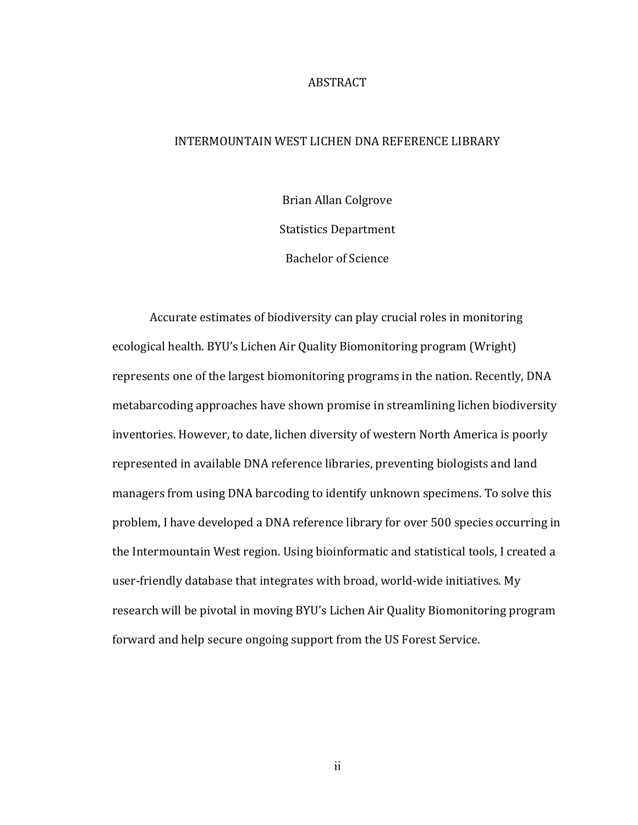#### ABSTRACT

#### INTERMOUNTAIN WEST LICHEN DNA REFERENCE LIBRARY

Brian Allan Colgrove Statistics Department Bachelor of Science

Accurate estimates of biodiversity can play crucial roles in monitoring ecological health. BYU's Lichen Air Quality Biomonitoring program (Wright) represents one of the largest biomonitoring programs in the nation. Recently, DNA metabarcoding approaches have shown promise in streamlining lichen biodiversity inventories. However, to date, lichen diversity of western North America is poorly represented in available DNA reference libraries, preventing biologists and land managers from using DNA barcoding to identify unknown specimens. To solve this problem, I have developed a DNA reference library for over 500 species occurring in the Intermountain West region. Using bioinformatic and statistical tools, I created a user-friendly database that integrates with broad, world-wide initiatives. My research will be pivotal in moving BYU's Lichen Air Quality Biomonitoring program forward and help secure ongoing support from the US Forest Service.

ii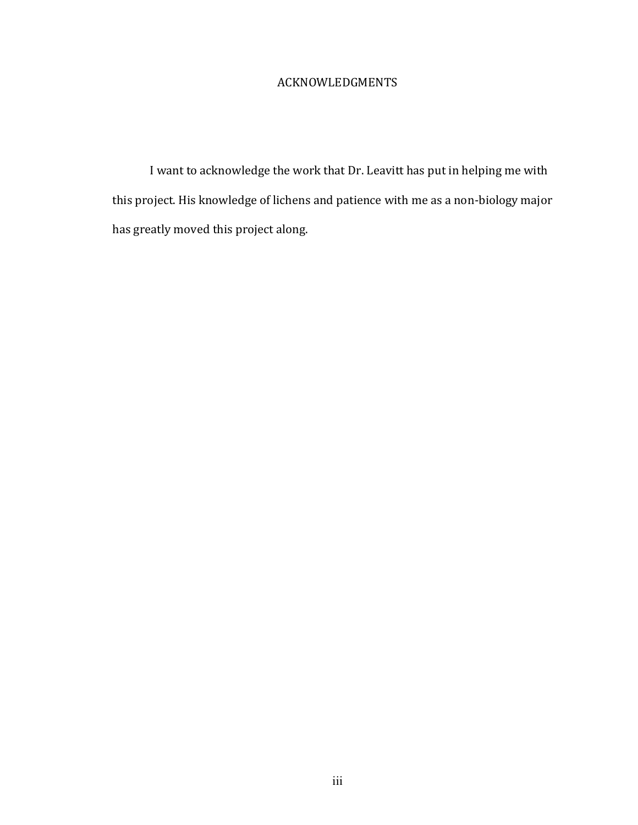# ACKNOWLEDGMENTS

I want to acknowledge the work that Dr. Leavitt has put in helping me with this project. His knowledge of lichens and patience with me as a non-biology major has greatly moved this project along.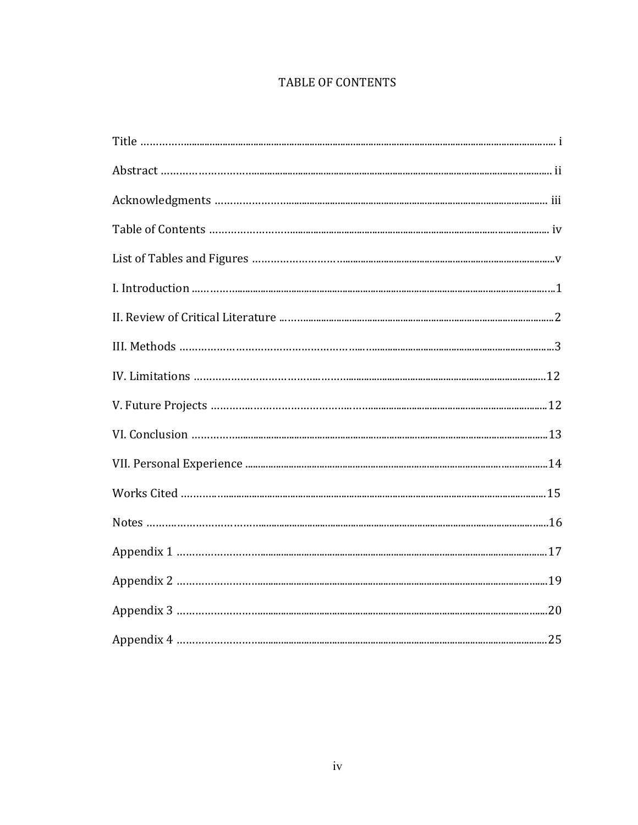# TABLE OF CONTENTS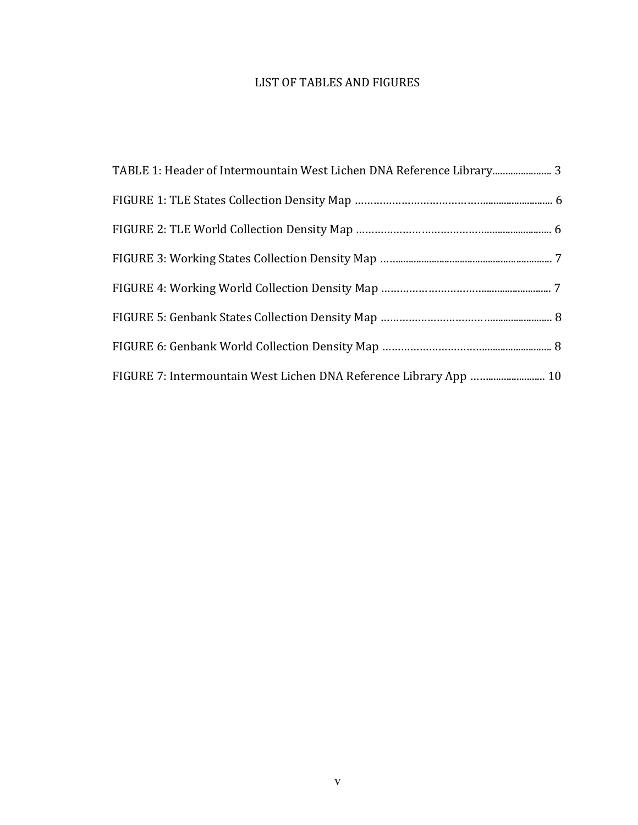# LIST OF TABLES AND FIGURES

| TABLE 1: Header of Intermountain West Lichen DNA Reference Library 3 |  |
|----------------------------------------------------------------------|--|
|                                                                      |  |
|                                                                      |  |
|                                                                      |  |
|                                                                      |  |
|                                                                      |  |
|                                                                      |  |
| FIGURE 7: Intermountain West Lichen DNA Reference Library App  10    |  |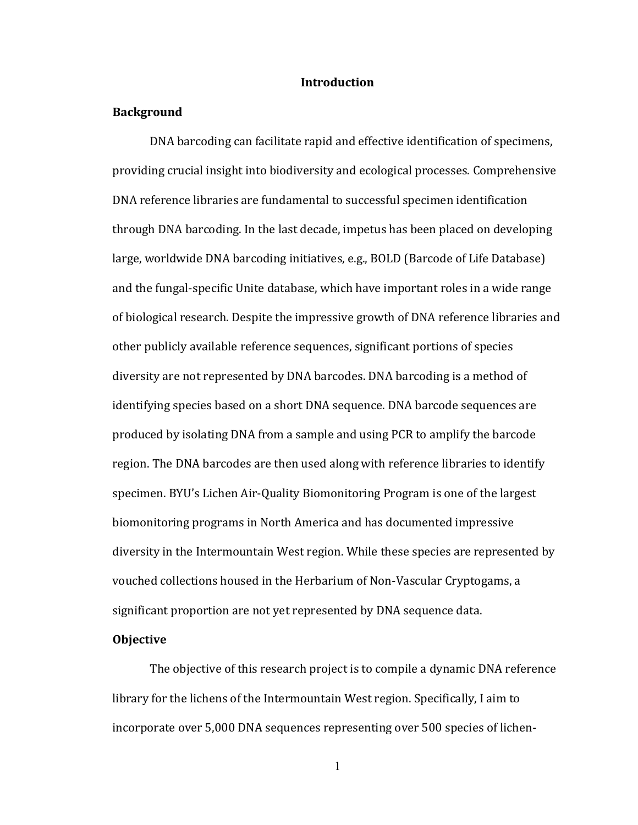#### **Introduction**

#### **Background**

DNA barcoding can facilitate rapid and effective identification of specimens, providing crucial insight into biodiversity and ecological processes. Comprehensive DNA reference libraries are fundamental to successful specimen identification through DNA barcoding. In the last decade, impetus has been placed on developing large, worldwide DNA barcoding initiatives, e.g., BOLD (Barcode of Life Database) and the fungal-specific Unite database, which have important roles in a wide range of biological research. Despite the impressive growth of DNA reference libraries and other publicly available reference sequences, significant portions of species diversity are not represented by DNA barcodes. DNA barcoding is a method of identifying species based on a short DNA sequence. DNA barcode sequences are produced by isolating DNA from a sample and using PCR to amplify the barcode region. The DNA barcodes are then used along with reference libraries to identify specimen. BYU's Lichen Air-Quality Biomonitoring Program is one of the largest biomonitoring programs in North America and has documented impressive diversity in the Intermountain West region. While these species are represented by vouched collections housed in the Herbarium of Non-Vascular Cryptogams, a significant proportion are not yet represented by DNA sequence data.

#### **Objective**

The objective of this research project is to compile a dynamic DNA reference library for the lichens of the Intermountain West region. Specifically, I aim to incorporate over 5,000 DNA sequences representing over 500 species of lichen-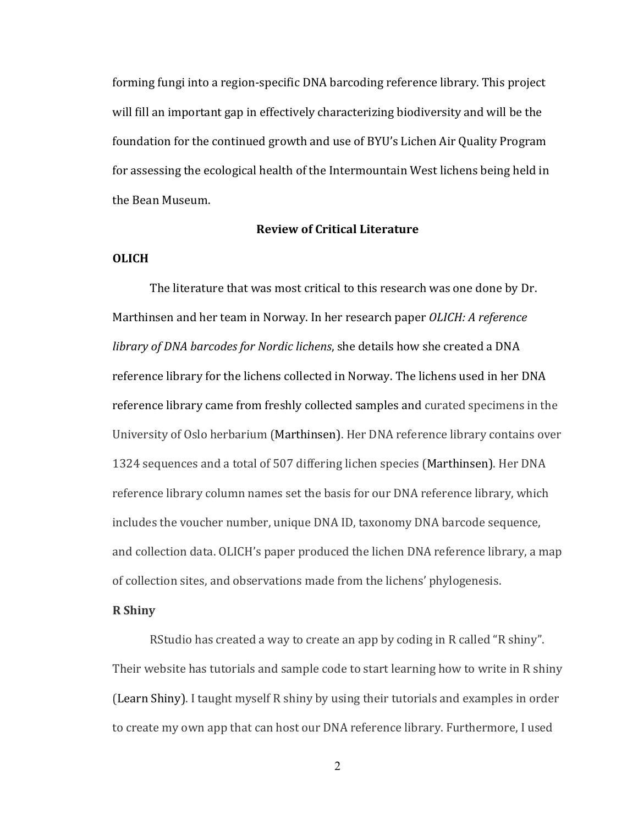forming fungi into a region-specific DNA barcoding reference library. This project will fill an important gap in effectively characterizing biodiversity and will be the foundation for the continued growth and use of BYU's Lichen Air Quality Program for assessing the ecological health of the Intermountain West lichens being held in the Bean Museum.

#### **Review of Critical Literature**

### **OLICH**

The literature that was most critical to this research was one done by Dr. Marthinsen and her team in Norway. In her research paper *OLICH: A reference library of DNA barcodes for Nordic lichens*, she details how she created a DNA reference library for the lichens collected in Norway. The lichens used in her DNA reference library came from freshly collected samples and curated specimens in the University of Oslo herbarium (Marthinsen). Her DNA reference library contains over 1324 sequences and a total of 507 differing lichen species (Marthinsen). Her DNA reference library column names set the basis for our DNA reference library, which includes the voucher number, unique DNA ID, taxonomy DNA barcode sequence, and collection data. OLICH's paper produced the lichen DNA reference library, a map of collection sites, and observations made from the lichens' phylogenesis.

#### **R Shiny**

RStudio has created a way to create an app by coding in R called "R shiny". Their website has tutorials and sample code to start learning how to write in R shiny (Learn Shiny). I taught myself R shiny by using their tutorials and examples in order to create my own app that can host our DNA reference library. Furthermore, I used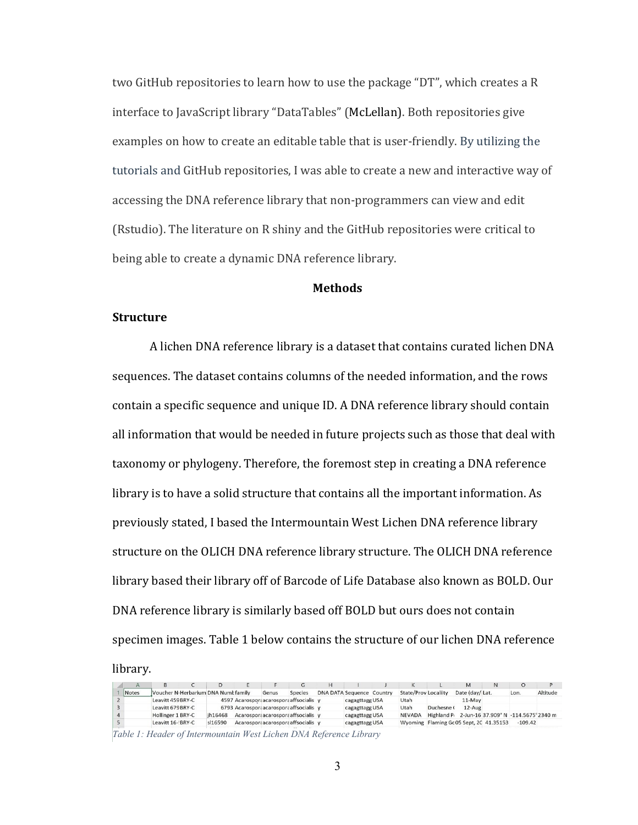two GitHub repositories to learn how to use the package "DT", which creates a R interface to JavaScript library "DataTables" (McLellan). Both repositories give examples on how to create an editable table that is user-friendly. By utilizing the tutorials and GitHub repositories, I was able to create a new and interactive way of accessing the DNA reference library that non-programmers can view and edit (Rstudio). The literature on R shiny and the GitHub repositories were critical to being able to create a dynamic DNA reference library.

#### **Methods**

#### **Structure**

A lichen DNA reference library is a dataset that contains curated lichen DNA sequences. The dataset contains columns of the needed information, and the rows contain a specific sequence and unique ID. A DNA reference library should contain all information that would be needed in future projects such as those that deal with taxonomy or phylogeny. Therefore, the foremost step in creating a DNA reference library is to have a solid structure that contains all the important information. As previously stated, I based the Intermountain West Lichen DNA reference library structure on the OLICH DNA reference library structure. The OLICH DNA reference library based their library off of Barcode of Life Database also known as BOLD. Our DNA reference library is similarly based off BOLD but ours does not contain specimen images. Table 1 below contains the structure of our lichen DNA reference

#### library.

|  |       |                                                  |         |                                          |                |                                  |                |                                        |                                                             |                | N |           |          |
|--|-------|--------------------------------------------------|---------|------------------------------------------|----------------|----------------------------------|----------------|----------------------------------------|-------------------------------------------------------------|----------------|---|-----------|----------|
|  | Notes | Voucher N <sub>'</sub> Herbarium DNA Numt family |         | Genus                                    | <b>Species</b> | <b>DNA DATA Sequence Country</b> |                | <b>State/Prov Localiity</b>            |                                                             | Date (day/Lat. |   | Lon.      | Altitude |
|  |       | Leavitt 459 BRY-C                                |         | 4597 Acarospora acarospora affsocialis y |                |                                  | cagagttagg USA | Utah                                   |                                                             | 11-May         |   |           |          |
|  |       | Leavitt 679 BRY-C                                |         | 6793 Acarospora carospora affsocialis y  |                |                                  | cagagttagg USA | Utah                                   | Duchesne (                                                  | $12-Auq$       |   |           |          |
|  |       | Hollinger 1 BRY-C                                | ih16468 | Acarospora acarospora affsocialis v      |                |                                  | cagagttagg USA | <b>NEVADA</b>                          | Highland P <sub>1</sub> 2-Jun-16 37.909° N -114.5675°2340 m |                |   |           |          |
|  |       | Leavitt 16-'BRY-C                                | s 16590 | Acarospora acarospora affsocialis v      |                |                                  | cagagttagg USA | Wyoming Flaming Gc05 Sept, 2C 41.35153 |                                                             |                |   | $-109.42$ |          |
|  |       |                                                  |         |                                          |                |                                  |                |                                        |                                                             |                |   |           |          |

*Table 1: Header of Intermountain West Lichen DNA Reference Library*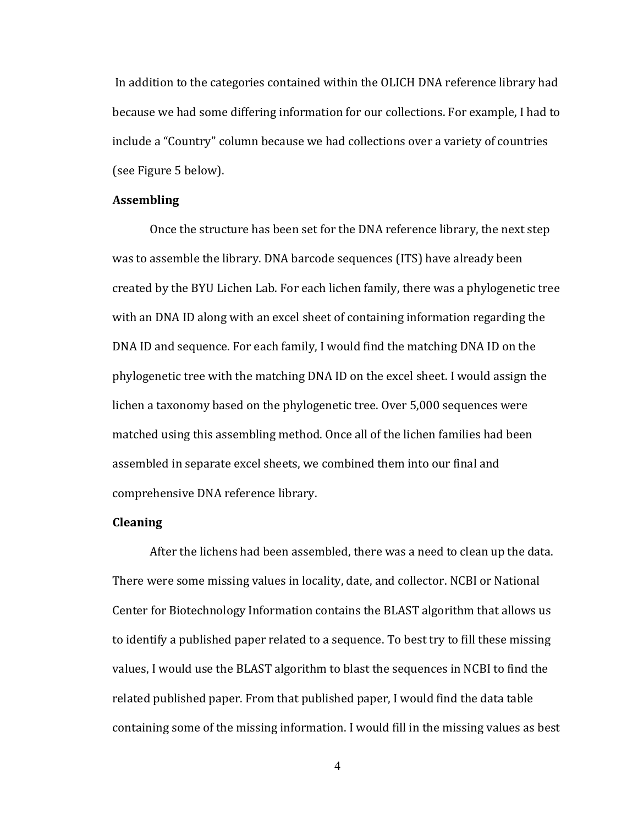In addition to the categories contained within the OLICH DNA reference library had because we had some differing information for our collections. For example, I had to include a "Country" column because we had collections over a variety of countries (see Figure 5 below).

#### **Assembling**

Once the structure has been set for the DNA reference library, the next step was to assemble the library. DNA barcode sequences (ITS) have already been created by the BYU Lichen Lab. For each lichen family, there was a phylogenetic tree with an DNA ID along with an excel sheet of containing information regarding the DNA ID and sequence. For each family, I would find the matching DNA ID on the phylogenetic tree with the matching DNA ID on the excel sheet. I would assign the lichen a taxonomy based on the phylogenetic tree. Over 5,000 sequences were matched using this assembling method. Once all of the lichen families had been assembled in separate excel sheets, we combined them into our final and comprehensive DNA reference library.

#### **Cleaning**

After the lichens had been assembled, there was a need to clean up the data. There were some missing values in locality, date, and collector. NCBI or National Center for Biotechnology Information contains the BLAST algorithm that allows us to identify a published paper related to a sequence. To best try to fill these missing values, I would use the BLAST algorithm to blast the sequences in NCBI to find the related published paper. From that published paper, I would find the data table containing some of the missing information. I would fill in the missing values as best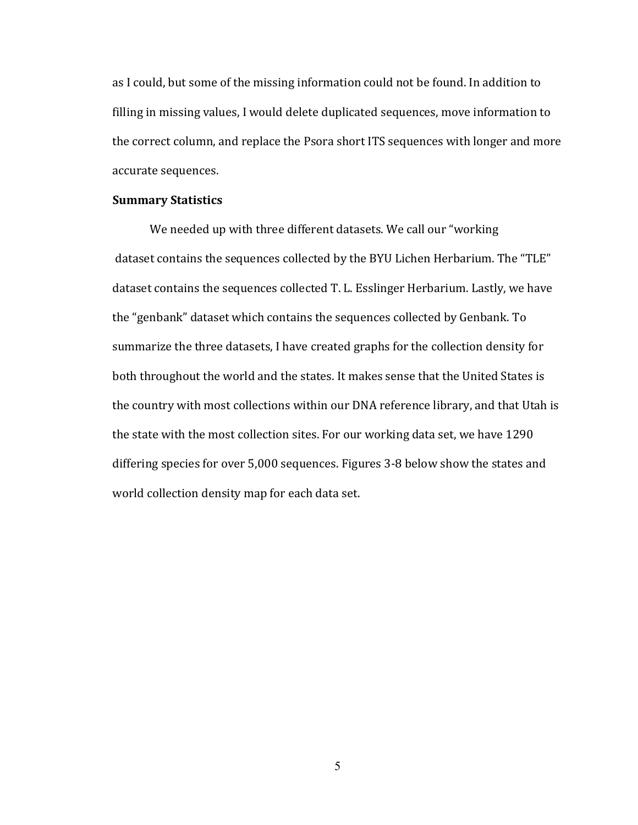as I could, but some of the missing information could not be found. In addition to filling in missing values, I would delete duplicated sequences, move information to the correct column, and replace the Psora short ITS sequences with longer and more accurate sequences.

#### **Summary Statistics**

We needed up with three different datasets. We call our "working dataset contains the sequences collected by the BYU Lichen Herbarium. The "TLE" dataset contains the sequences collected T. L. Esslinger Herbarium. Lastly, we have the "genbank" dataset which contains the sequences collected by Genbank. To summarize the three datasets, I have created graphs for the collection density for both throughout the world and the states. It makes sense that the United States is the country with most collections within our DNA reference library, and that Utah is the state with the most collection sites. For our working data set, we have 1290 differing species for over 5,000 sequences. Figures 3-8 below show the states and world collection density map for each data set.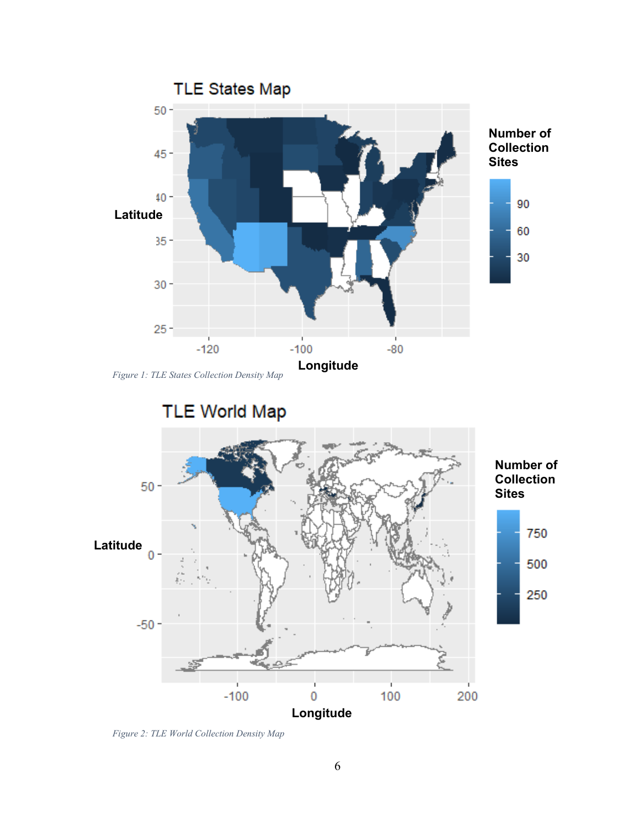



*Figure 2: TLE World Collection Density Map*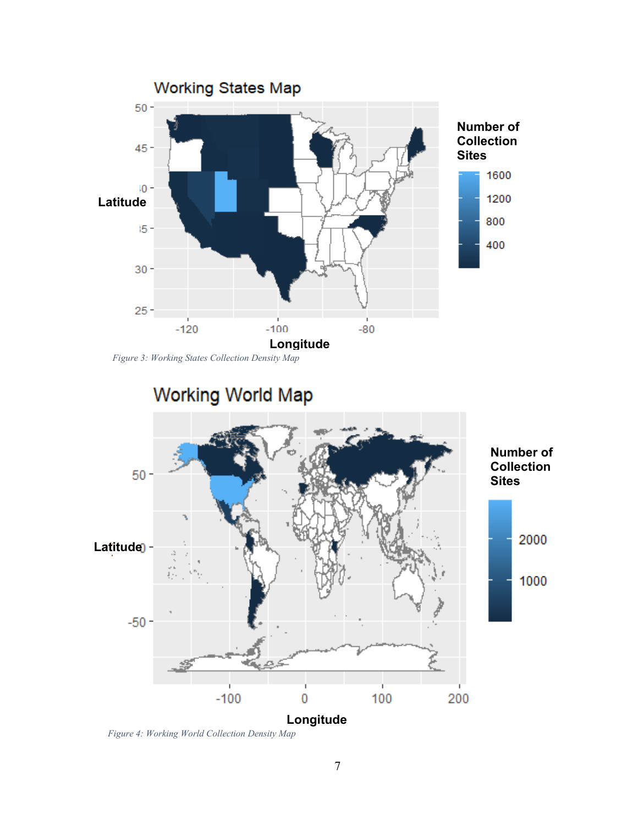





*Figure 4: Working World Collection Density Map*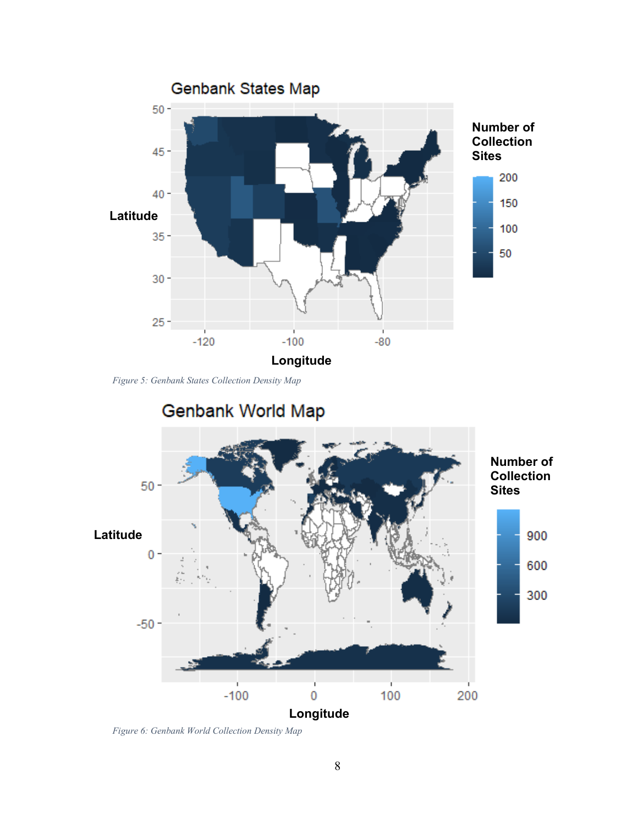

*Figure 5: Genbank States Collection Density Map*



*Figure 6: Genbank World Collection Density Map*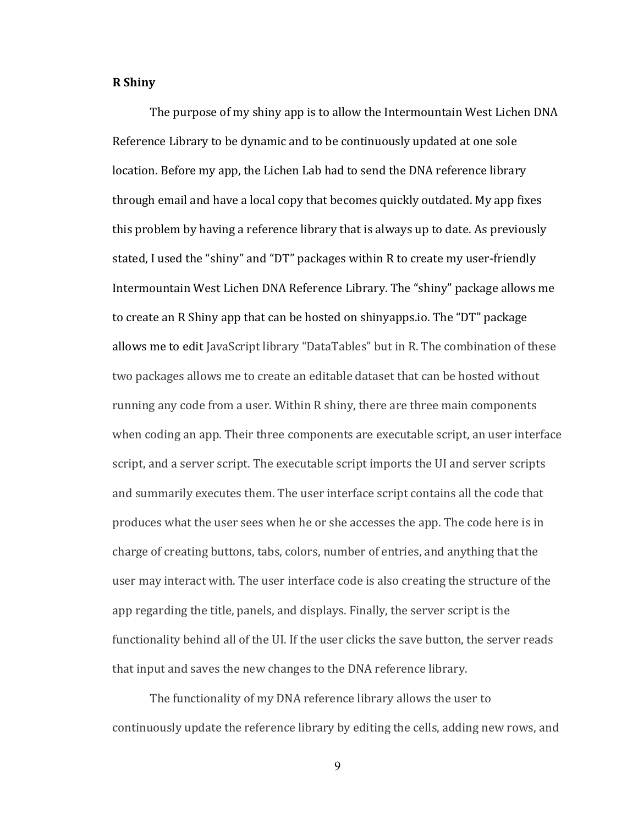#### **R Shiny**

The purpose of my shiny app is to allow the Intermountain West Lichen DNA Reference Library to be dynamic and to be continuously updated at one sole location. Before my app, the Lichen Lab had to send the DNA reference library through email and have a local copy that becomes quickly outdated. My app fixes this problem by having a reference library that is always up to date. As previously stated, I used the "shiny" and "DT" packages within R to create my user-friendly Intermountain West Lichen DNA Reference Library. The "shiny" package allows me to create an R Shiny app that can be hosted on shinyapps.io. The "DT" package allows me to edit JavaScript library "DataTables" but in R. The combination of these two packages allows me to create an editable dataset that can be hosted without running any code from a user. Within R shiny, there are three main components when coding an app. Their three components are executable script, an user interface script, and a server script. The executable script imports the UI and server scripts and summarily executes them. The user interface script contains all the code that produces what the user sees when he or she accesses the app. The code here is in charge of creating buttons, tabs, colors, number of entries, and anything that the user may interact with. The user interface code is also creating the structure of the app regarding the title, panels, and displays. Finally, the server script is the functionality behind all of the UI. If the user clicks the save button, the server reads that input and saves the new changes to the DNA reference library.

The functionality of my DNA reference library allows the user to continuously update the reference library by editing the cells, adding new rows, and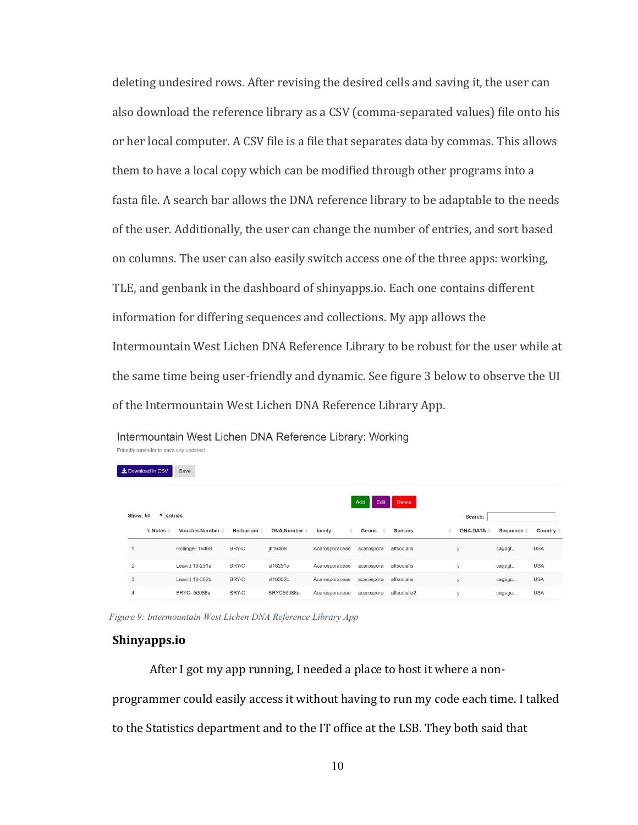deleting undesired rows. After revising the desired cells and saving it, the user can also download the reference library as a CSV (comma-separated values) file onto his or her local computer. A CSV file is a file that separates data by commas. This allows them to have a local copy which can be modified through other programs into a fasta file. A search bar allows the DNA reference library to be adaptable to the needs of the user. Additionally, the user can change the number of entries, and sort based on columns. The user can also easily switch access one of the three apps: working, TLE, and genbank in the dashboard of shinyapps.io. Each one contains different information for differing sequences and collections. My app allows the Intermountain West Lichen DNA Reference Library to be robust for the user while at the same time being user-friendly and dynamic. See figure 3 below to observe the UI of the Intermountain West Lichen DNA Reference Library App.

| Download in CSV            | Save            |           |              |                |            |                |          |          |            |
|----------------------------|-----------------|-----------|--------------|----------------|------------|----------------|----------|----------|------------|
| Show 50 $\sqrt{ }$ entries |                 |           | Add<br>Edit  | <b>Delete</b>  | Search:    |                |          |          |            |
| ïNotes                     | Voucher.Number  | Herbarium | DNA.Number = | family<br>÷    | Genus      | <b>Species</b> | DNA.DATA | Sequence | Country =  |
|                            | Hollinger 16468 | BRY-C     | jh16468      | Acarosporaceae | acarospora | affsocialis    | V        | cagagt   | <b>USA</b> |
| $\overline{2}$             | Leavitt 18-291a | BRY-C     | sl18291a     | Acarosporaceae | acarospora | affsocialis    | V        | cagagt   | <b>USA</b> |
| 3                          | Leavitt 18-362b | BRY-C     | sl18362b     | Acarosporaceae | acarospora | affsocialis    | У        | cagagc   | <b>USA</b> |
| $\overline{4}$             | BRYC-56088a     | BRY-C     | BRYC56088a   | Acarosporaceae | acarospora | affsocialis2   | v        | cagagc   | <b>USA</b> |

Intermountain West Lichen DNA Reference Library: Working Friendly reminder to save any updates!

*Figure 9: Intermountain West Lichen DNA Reference Library App*

#### **Shinyapps.io**

After I got my app running, I needed a place to host it where a nonprogrammer could easily access it without having to run my code each time. I talked to the Statistics department and to the IT office at the LSB. They both said that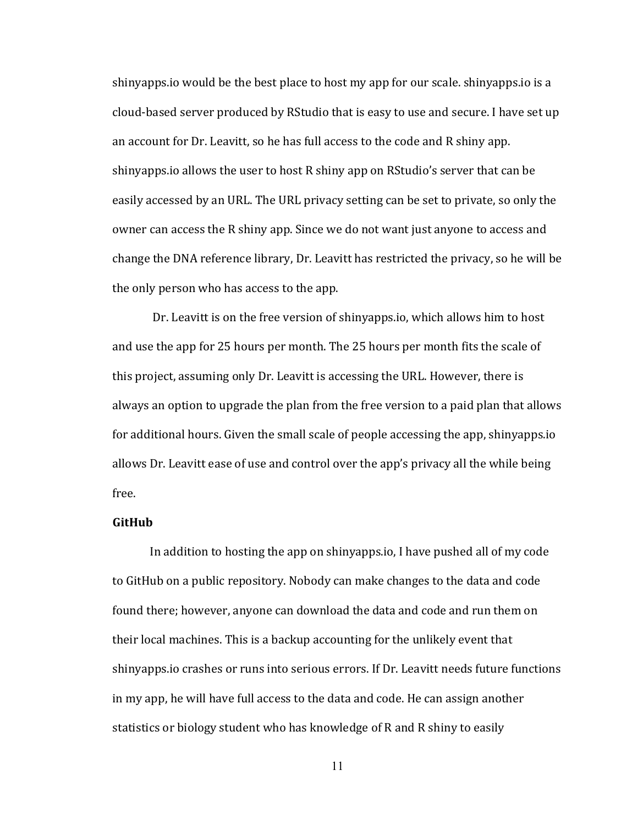shinyapps.io would be the best place to host my app for our scale. shinyapps.io is a cloud-based server produced by RStudio that is easy to use and secure. I have set up an account for Dr. Leavitt, so he has full access to the code and R shiny app. shinyapps.io allows the user to host R shiny app on RStudio's server that can be easily accessed by an URL. The URL privacy setting can be set to private, so only the owner can access the R shiny app. Since we do not want just anyone to access and change the DNA reference library, Dr. Leavitt has restricted the privacy, so he will be the only person who has access to the app.

Dr. Leavitt is on the free version of shinyapps.io, which allows him to host and use the app for 25 hours per month. The 25 hours per month fits the scale of this project, assuming only Dr. Leavitt is accessing the URL. However, there is always an option to upgrade the plan from the free version to a paid plan that allows for additional hours. Given the small scale of people accessing the app, shinyapps.io allows Dr. Leavitt ease of use and control over the app's privacy all the while being free.

#### **GitHub**

In addition to hosting the app on shinyapps.io, I have pushed all of my code to GitHub on a public repository. Nobody can make changes to the data and code found there; however, anyone can download the data and code and run them on their local machines. This is a backup accounting for the unlikely event that shinyapps.io crashes or runs into serious errors. If Dr. Leavitt needs future functions in my app, he will have full access to the data and code. He can assign another statistics or biology student who has knowledge of R and R shiny to easily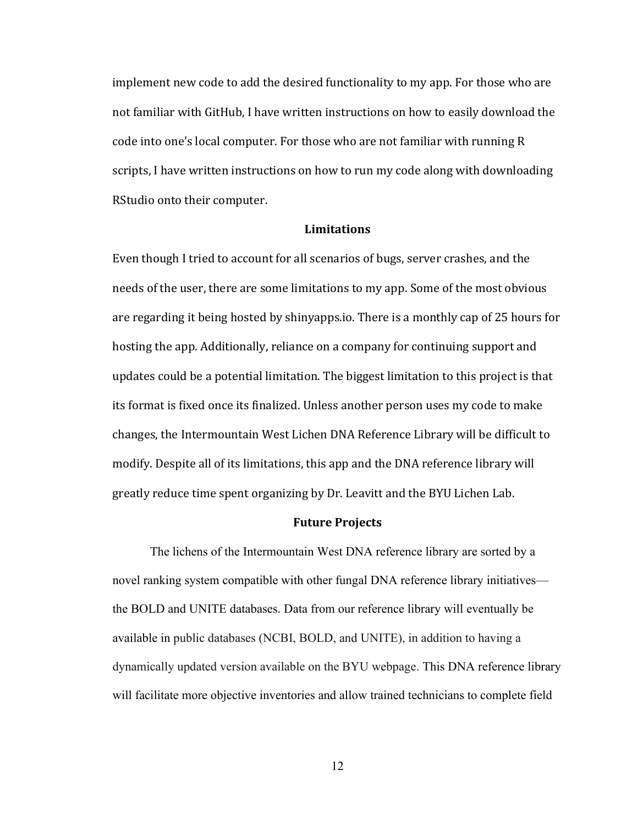implement new code to add the desired functionality to my app. For those who are not familiar with GitHub, I have written instructions on how to easily download the code into one's local computer. For those who are not familiar with running R scripts, I have written instructions on how to run my code along with downloading RStudio onto their computer.

#### **Limitations**

Even though I tried to account for all scenarios of bugs, server crashes, and the needs of the user, there are some limitations to my app. Some of the most obvious are regarding it being hosted by shinyapps.io. There is a monthly cap of 25 hours for hosting the app. Additionally, reliance on a company for continuing support and updates could be a potential limitation. The biggest limitation to this project is that its format is fixed once its finalized. Unless another person uses my code to make changes, the Intermountain West Lichen DNA Reference Library will be difficult to modify. Despite all of its limitations, this app and the DNA reference library will greatly reduce time spent organizing by Dr. Leavitt and the BYU Lichen Lab.

#### **Future Projects**

The lichens of the Intermountain West DNA reference library are sorted by a novel ranking system compatible with other fungal DNA reference library initiatives the BOLD and UNITE databases. Data from our reference library will eventually be available in public databases (NCBI, BOLD, and UNITE), in addition to having a dynamically updated version available on the BYU webpage. This DNA reference library will facilitate more objective inventories and allow trained technicians to complete field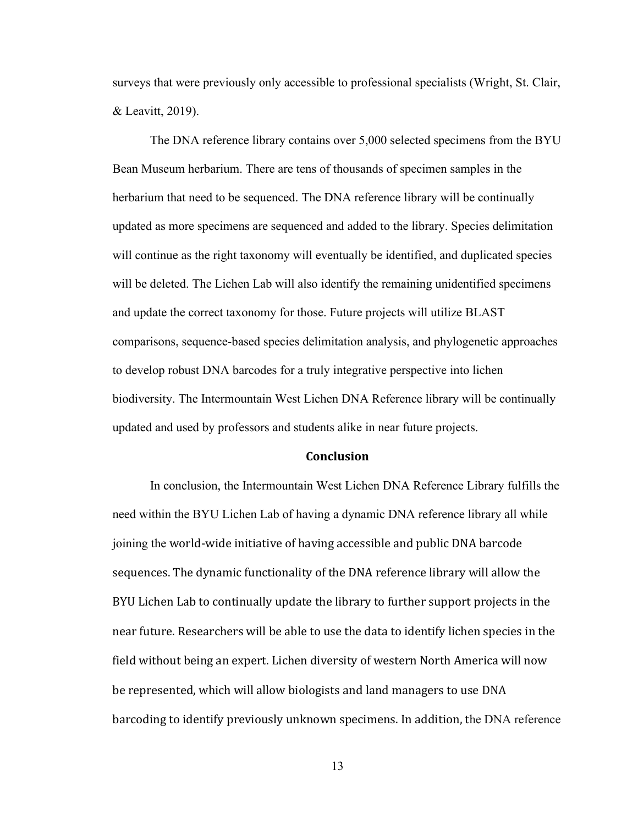surveys that were previously only accessible to professional specialists (Wright, St. Clair, & Leavitt, 2019).

The DNA reference library contains over 5,000 selected specimens from the BYU Bean Museum herbarium. There are tens of thousands of specimen samples in the herbarium that need to be sequenced. The DNA reference library will be continually updated as more specimens are sequenced and added to the library. Species delimitation will continue as the right taxonomy will eventually be identified, and duplicated species will be deleted. The Lichen Lab will also identify the remaining unidentified specimens and update the correct taxonomy for those. Future projects will utilize BLAST comparisons, sequence-based species delimitation analysis, and phylogenetic approaches to develop robust DNA barcodes for a truly integrative perspective into lichen biodiversity. The Intermountain West Lichen DNA Reference library will be continually updated and used by professors and students alike in near future projects.

#### **Conclusion**

In conclusion, the Intermountain West Lichen DNA Reference Library fulfills the need within the BYU Lichen Lab of having a dynamic DNA reference library all while joining the world-wide initiative of having accessible and public DNA barcode sequences. The dynamic functionality of the DNA reference library will allow the BYU Lichen Lab to continually update the library to further support projects in the near future. Researchers will be able to use the data to identify lichen species in the field without being an expert. Lichen diversity of western North America will now be represented, which will allow biologists and land managers to use DNA barcoding to identify previously unknown specimens. In addition, the DNA reference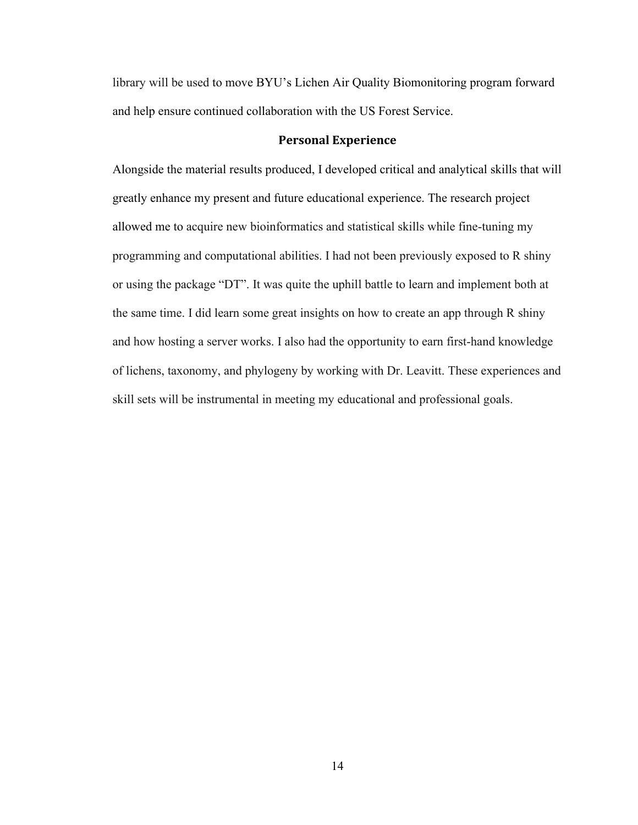library will be used to move BYU's Lichen Air Quality Biomonitoring program forward and help ensure continued collaboration with the US Forest Service.

#### **Personal Experience**

Alongside the material results produced, I developed critical and analytical skills that will greatly enhance my present and future educational experience. The research project allowed me to acquire new bioinformatics and statistical skills while fine-tuning my programming and computational abilities. I had not been previously exposed to R shiny or using the package "DT". It was quite the uphill battle to learn and implement both at the same time. I did learn some great insights on how to create an app through R shiny and how hosting a server works. I also had the opportunity to earn first-hand knowledge of lichens, taxonomy, and phylogeny by working with Dr. Leavitt. These experiences and skill sets will be instrumental in meeting my educational and professional goals.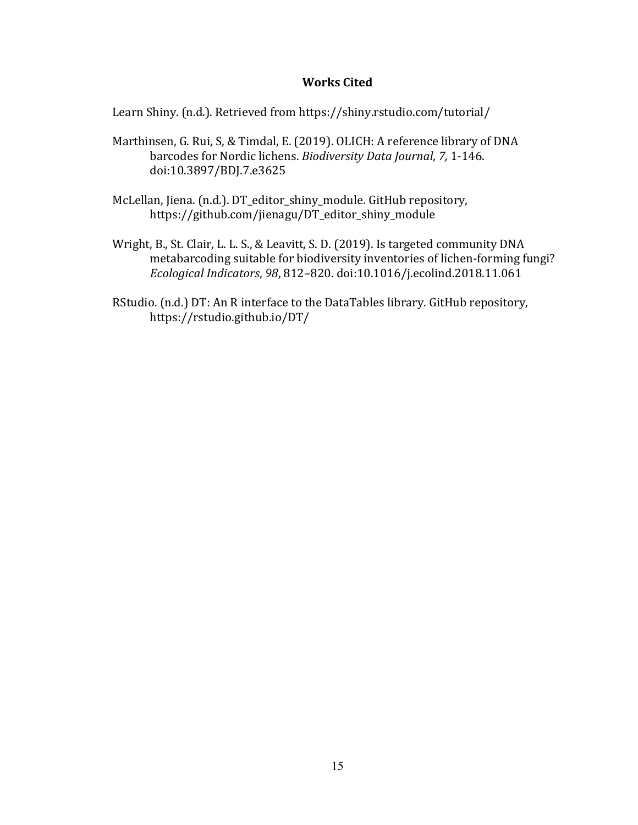### **Works Cited**

Learn Shiny. (n.d.). Retrieved from https://shiny.rstudio.com/tutorial/

- Marthinsen, G. Rui, S, & Timdal, E. (2019). OLICH: A reference library of DNA barcodes for Nordic lichens. *Biodiversity Data Journal*, *7,* 1-146. doi:10.3897/BDJ.7.e3625
- McLellan, Jiena. (n.d.). DT\_editor\_shiny\_module. GitHub repository, https://github.com/jienagu/DT\_editor\_shiny\_module
- Wright, B., St. Clair, L. L. S., & Leavitt, S. D. (2019). Is targeted community DNA metabarcoding suitable for biodiversity inventories of lichen-forming fungi? *Ecological Indicators*, *98*, 812–820. doi:10.1016/j.ecolind.2018.11.061
- RStudio. (n.d.) DT: An R interface to the DataTables library. GitHub repository, https://rstudio.github.io/DT/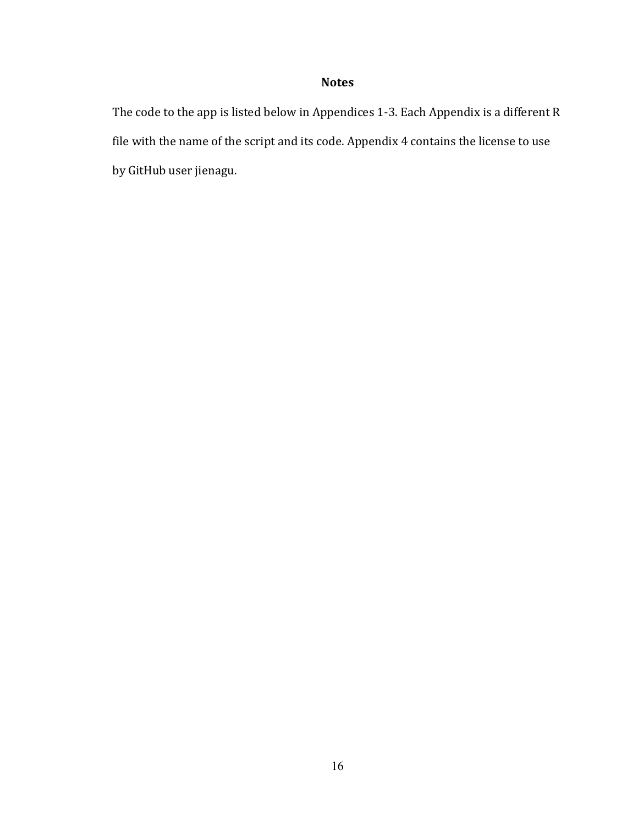# **Notes**

The code to the app is listed below in Appendices 1-3. Each Appendix is a different R file with the name of the script and its code. Appendix 4 contains the license to use by GitHub user jienagu.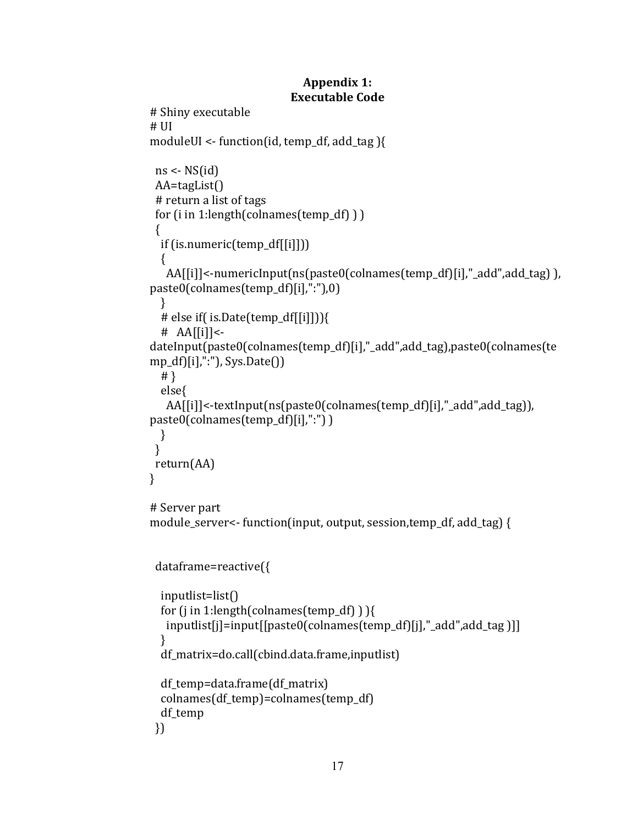## **Appendix 1: Executable Code**

```
# Shiny executable 
# UI
moduleUI <- function(id, temp_df, add_tag ){
 ns <- NS(id)
  AA=tagList()
  # return a list of tags
  for (i in 1:length(colnames(temp_df) ) )
  {
   if (is.numeric(temp_df[[i]]))
  \{ AA[[i]]<-numericInput(ns(paste0(colnames(temp_df)[i],"_add",add_tag) ), 
paste0(colnames(temp_df)[i],":"),0)
   } 
   # else if( is.Date(temp_df[[i]])){
  \# AA\left[\begin{bmatrix} i \end{bmatrix}\right] <-
dateInput(paste0(colnames(temp_df)[i],"_add",add_tag),paste0(colnames(te
mp_df)[i],":"), Sys.Date())
   # }
   else{ 
    AA[[i]]<-textInput(ns(paste0(colnames(temp_df)[i],"_add",add_tag)), 
paste0(colnames(temp_df)[i],":") )
  }
  }
  return(AA)
}
# Server part 
module server\le- function(input, output, session,temp df, add tag) {
  dataframe=reactive({
   inputlist=list()
   for (j in 1:length(colnames(temp_df) ) ){
    inputlist[j]=input[[paste0(colnames(temp_df)[j],"_add",add_tag )]]
   }
   df_matrix=do.call(cbind.data.frame,inputlist)
  df temp=data.frame(df matrix)
   colnames(df_temp)=colnames(temp_df)
   df_temp
  })
```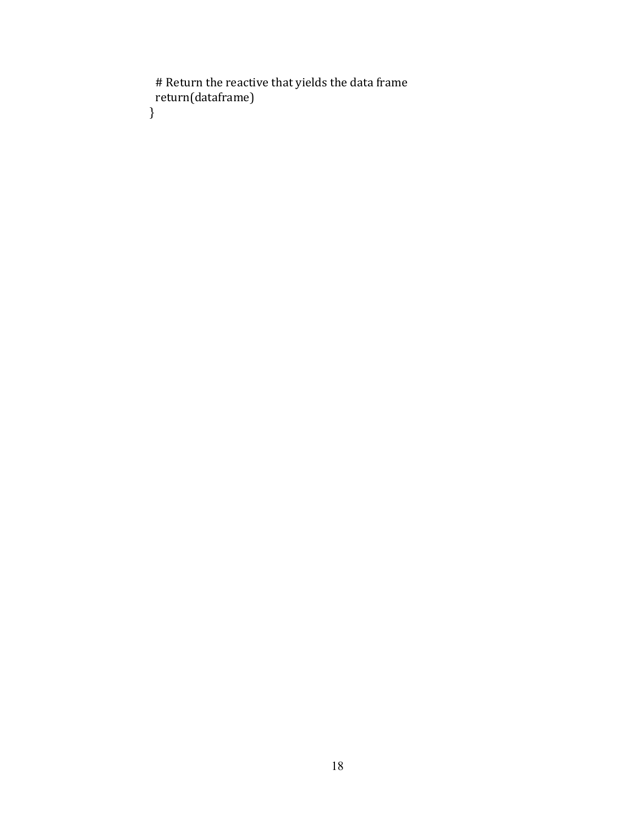# Return the reactive that yields the data frame return(dataframe) }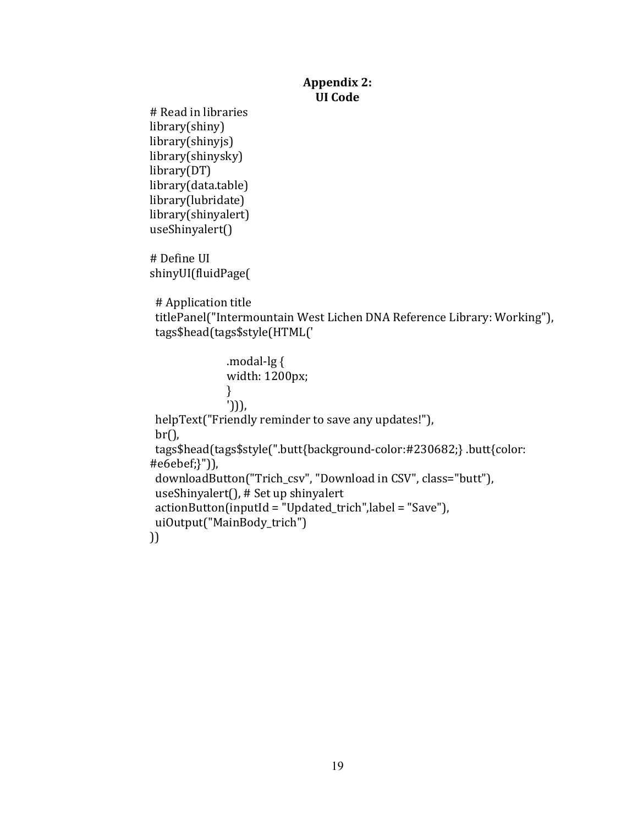### **Appendix 2: UI Code**

# Read in libraries library(shiny) library(shinyjs) library(shinysky) library(DT) library(data.table) library(lubridate) library(shinyalert) useShinyalert()

# Define UI shinyUI(fluidPage(

# Application title

 titlePanel("Intermountain West Lichen DNA Reference Library: Working"), tags\$head(tags\$style(HTML('

 .modal-lg { width: 1200px; } '))), helpText("Friendly reminder to save any updates!"), br(), tags\$head(tags\$style(".butt{background-color:#230682;} .butt{color: #e6ebef;}")), downloadButton("Trich\_csv", "Download in CSV", class="butt"), useShinyalert(), # Set up shinyalert actionButton(inputId = "Updated\_trich",label = "Save"), uiOutput("MainBody\_trich") ))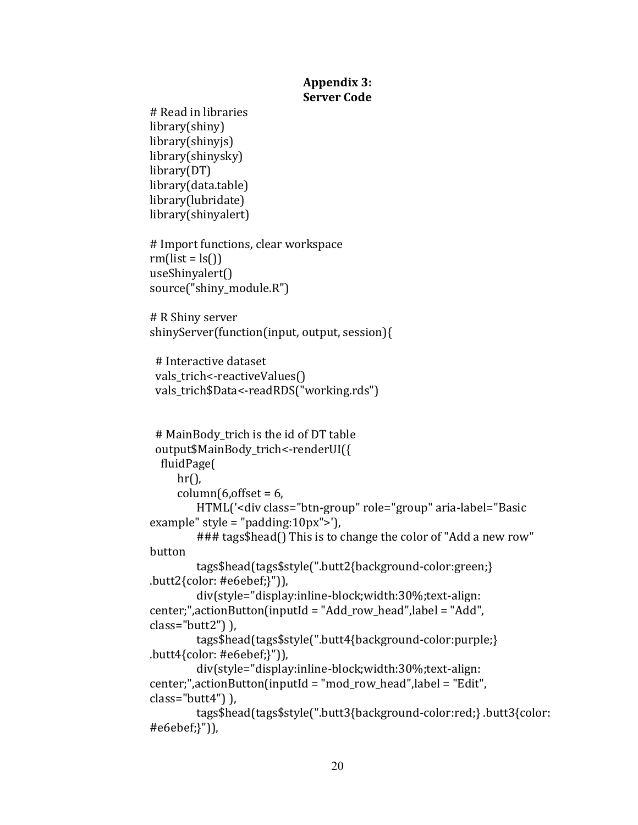### **Appendix 3: Server Code**

```
# Read in libraries
library(shiny)
library(shinyjs)
library(shinysky)
library(DT)
library(data.table)
library(lubridate)
library(shinyalert)
# Import functions, clear workspace
rm(list = ls()useShinyalert()
source("shiny module.R")
# R Shiny server
shinyServer(function(input, output, session){
  # Interactive dataset 
 vals_trich<-reactiveValues()
 vals_trich$Data<-readRDS("working.rds")
  # MainBody_trich is the id of DT table
  output$MainBody_trich<-renderUI({
   fluidPage(
     hr(),
     column(6,offset = 6, HTML('<div class="btn-group" role="group" aria-label="Basic 
example" style = "padding:10px">'),
         ### tags$head() This is to change the color of "Add a new row" 
button
         tags$head(tags$style(".butt2{background-color:green;} 
.butt2{color: #e6ebef;}")),
         div(style="display:inline-block;width:30%;text-align: 
center;",actionButton(inputId = "Add_row_head",label = "Add", 
class="butt2") ),
         tags$head(tags$style(".butt4{background-color:purple;} 
.butt4{color: #e6ebef;}")),
         div(style="display:inline-block;width:30%;text-align: 
center;",actionButton(inputId = "mod_row_head",label = "Edit", 
class="butt4") ),
         tags$head(tags$style(".butt3{background-color:red;} .butt3{color: 
#e6ebef;}")),
```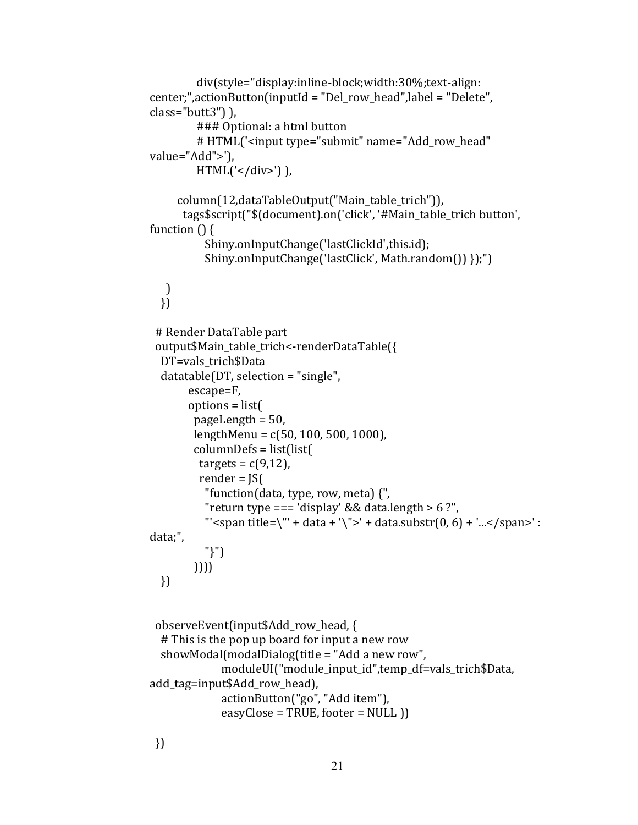```
 div(style="display:inline-block;width:30%;text-align: 
center;",actionButton(inputId = "Del_row_head",label = "Delete", 
class="butt3") ),
         ### Optional: a html button 
         # HTML('<input type="submit" name="Add_row_head" 
value="Add">'),
        HTML(' < /div>)),
      column(12,dataTableOutput("Main_table_trich")),
       tags$script("$(document).on('click', '#Main_table_trich button', 
function () {
           Shiny.onInputChange('lastClickId',this.id);
           Shiny.onInputChange('lastClick', Math.random()) });")
   ) 
  })
  # Render DataTable part
 output$Main_table_trich<-renderDataTable({
   DT=vals_trich$Data
   datatable(DT, selection = "single",
        escape=F, 
        options = list(
         pageLength = 50,
         lengthMenu = c(50, 100, 500, 1000),
         columnDefs = list(list(
         targets = c(9,12),
          render = JS(
           "function(data, type, row, meta) {",
          "return type === 'display' && data.length > 6 ?",
          "' <span title=\"' + data + '\">' + data.substr(0, 6) + '... </span>' :
data;",
           "}")
         )))) 
   })
  observeEvent(input$Add_row_head, {
   # This is the pop up board for input a new row
   showModal(modalDialog(title = "Add a new row",
              moduleUI("module_input_id",temp_df=vals_trich$Data, 
add_tag=input$Add_row_head),
              actionButton("go", "Add item"),
             easyClose = TRUE,footer = NULL)
  })
```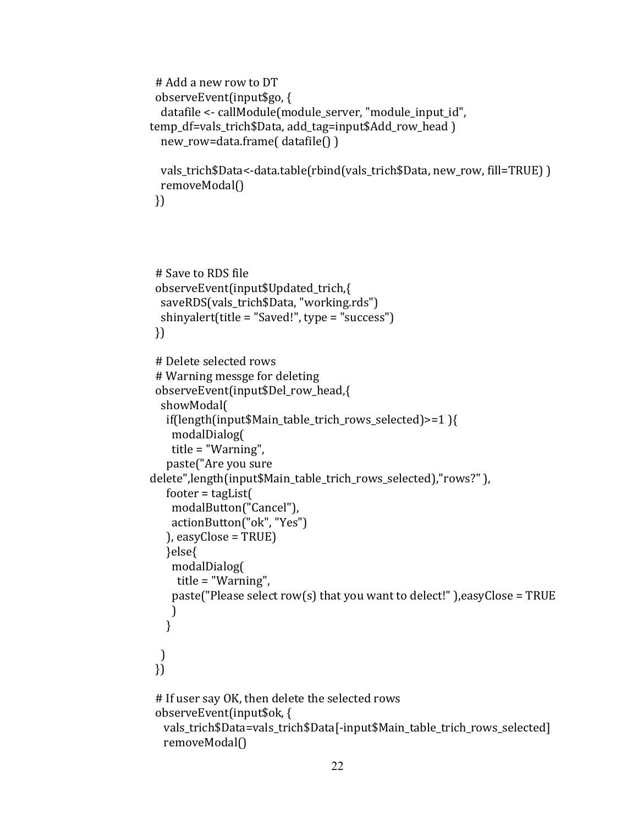```
 # Add a new row to DT 
 observeEvent(input$go, {
   datafile <- callModule(module_server, "module_input_id", 
temp_df=vals_trich$Data, add_tag=input$Add_row_head )
   new_row=data.frame( datafile() )
  vals_trich$Data<-data.table(rbind(vals_trich$Data, new_row, fill=TRUE) )
  removeModal()
 })
 # Save to RDS file 
 observeEvent(input$Updated_trich,{
  saveRDS(vals_trich$Data, "working.rds")
  shinyalert(title = "Saved!", type = "success")
 })
 # Delete selected rows
 # Warning messge for deleting
 observeEvent(input$Del_row_head,{
  showModal(
   if(length(input$Main_table_trich_rows_selected)>=1 ){
     modalDialog(
     title = "Warning",
    paste("Are you sure 
delete",length(input$Main_table_trich_rows_selected),"rows?" ),
  footer = tagList( modalButton("Cancel"),
     actionButton("ok", "Yes")
   ), easyClose = TRUE)
   }else{
     modalDialog(
     title = "Warning",
    paste("Please select row(s) that you want to delect!" ), easy Close = TRUE
    )
   }
  )
 })
 # If user say OK, then delete the selected rows
 observeEvent(input$ok, {
   vals_trich$Data=vals_trich$Data[-input$Main_table_trich_rows_selected]
   removeModal()
```

```
22
```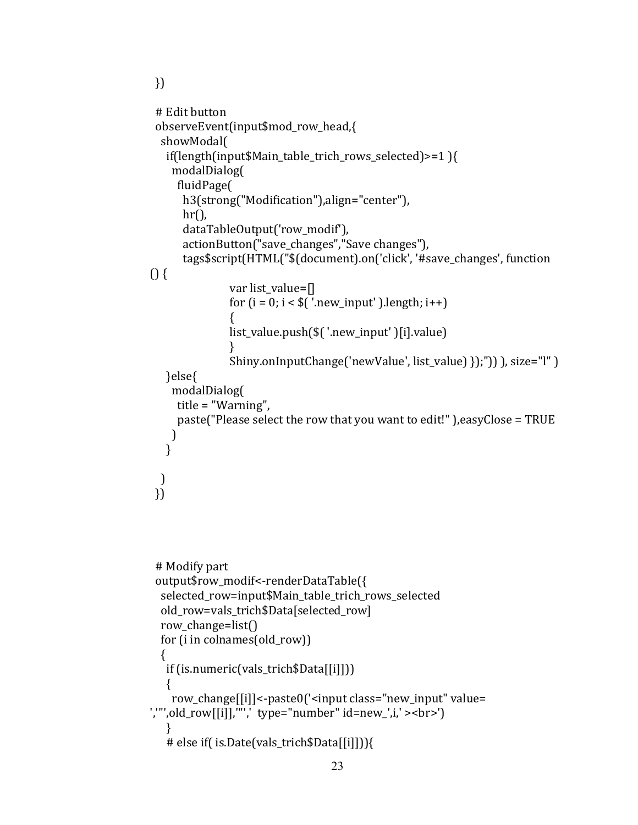```
 })
  # Edit button
  observeEvent(input$mod_row_head,{
   showModal(
   if(length(input$Main_table_trich_rows_selected)>=1 ){
     modalDialog(
      fluidPage(
       h3(strong("Modification"),align="center"),
      hr(),
       dataTableOutput('row_modif'),
       actionButton("save_changes","Save changes"),
       tags$script(HTML("$(document).on('click', '#save_changes', function 
\{ \}var list value=[]
               for (i = 0; i < \frac{\xi}{\xi}) '.new_input' ).length; i++)\{ list_value.push($( '.new_input' )[i].value)
 }
                Shiny.onInputChange('newValue', list_value) });")) ), size="l" )
    }else{
     modalDialog(
      title = "Warning",
      paste("Please select the row that you want to edit!" ),easyClose = TRUE
    )
    }
  )
  })
  # Modify part
  output$row_modif<-renderDataTable({
   selected_row=input$Main_table_trich_rows_selected
   old_row=vals_trich$Data[selected_row]
  row change=list()
   for (i in colnames(old_row))
   {
    if (is.numeric(vals_trich$Data[[i]]))
   \{
```

```
 row_change[[i]]<-paste0('<input class="new_input" value= 
','"',old_row[[i]],'"',' type="number" id=new_',i,' ><br>')
    } 
    # else if( is.Date(vals_trich$Data[[i]])){
```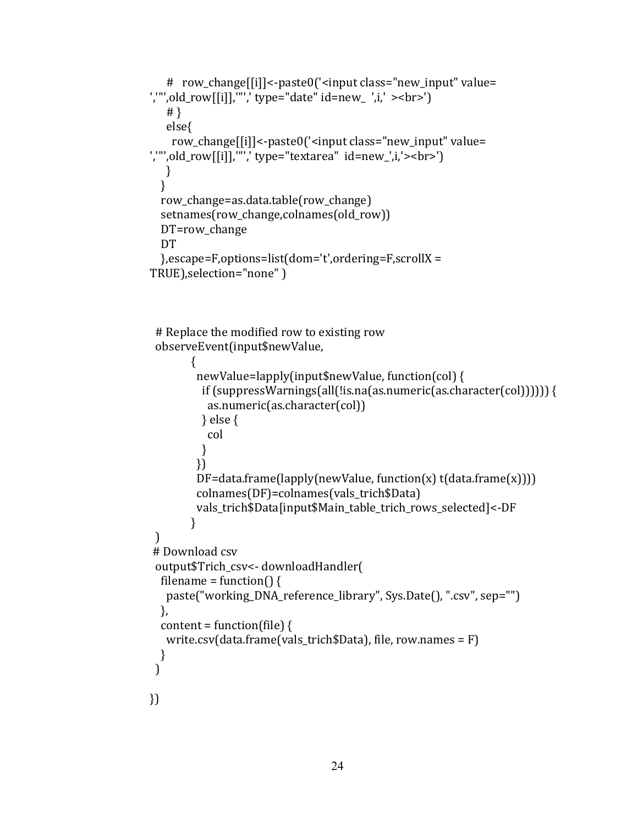```
 # row_change[[i]]<-paste0('<input class="new_input" value= 
','"',old_row[[i]],'"',' type="date" id=new_ ',i,' ><br>')
    # }
    else{ 
     row_change[[i]]<-paste0('<input class="new_input" value= 
','"',old_row[[i]],'"',' type="textarea" id=new_',i,'><br>')
    }
   }
   row_change=as.data.table(row_change)
  setnames(row_change,colnames(old_row))
   DT=row_change
   DT 
   },escape=F,options=list(dom='t',ordering=F,scrollX = 
TRUE),selection="none" )
```
 # Replace the modified row to existing row observeEvent(input\$newValue,

```
 {
         newValue=lapply(input$newValue, function(col) {
           if (suppressWarnings(all(!is.na(as.numeric(as.character(col)))))) {
            as.numeric(as.character(col))
           } else {
            col
          }
         })
         DF = data frame(lapply(newValue, function(x) t(dataframe(x)))) colnames(DF)=colnames(vals_trich$Data)
         vals_trich$Data[input$Main_table_trich_rows_selected]<-DF
         }
  )
# Download csv 
  output$Trich_csv<- downloadHandler(
  filename = function() {
    paste("working_DNA_reference_library", Sys.Date(), ".csv", sep="")
   },
  content = function(file) {
    write.csv(data.frame(vals_trich$Data), file, row.names = F)
  }
  )
})
```